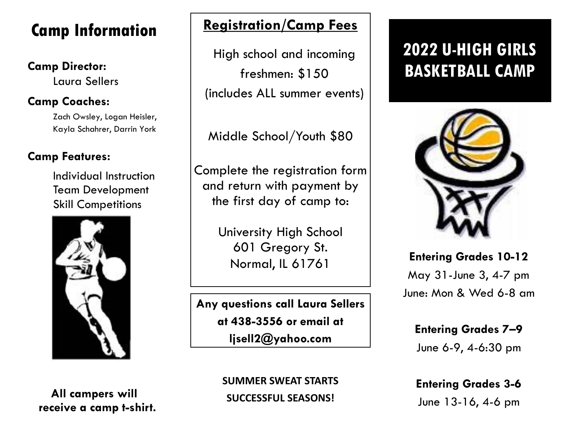# **Camp Information**

Laura Sellers

### **Camp Coaches:**

Zach Owsley, Logan Heisler, Kayla Schahrer, Darrin York

#### **Camp Features:**

Individual Instruction Team Development Skill Competitions



**All campers will receive a camp t-shirt.**

### **Registration/Camp Fees**

**Camp Director:**<br> **EXAMP** freshmen: \$150 BASKETBALL CAMP High school and incoming freshmen: \$150 (includes ALL summer events)

Middle School/Youth \$80

Complete the registration form and return with payment by the first day of camp to:

> University High School 601 Gregory St. Normal, IL 61761

**Any questions call Laura Sellers at 438-3556 or email at ljsell2@yahoo.com**

> **SUMMER SWEAT STARTS SUCCESSFUL SEASONS!**

# **2022 U-HIGH GIRLS**



**Entering Grades 10-12** May 31-June 3, 4-7 pm June: Mon & Wed 6-8 am

**Entering Grades 7–9** June 6-9, 4-6:30 pm

**Entering Grades 3-6** June 13-16, 4-6 pm